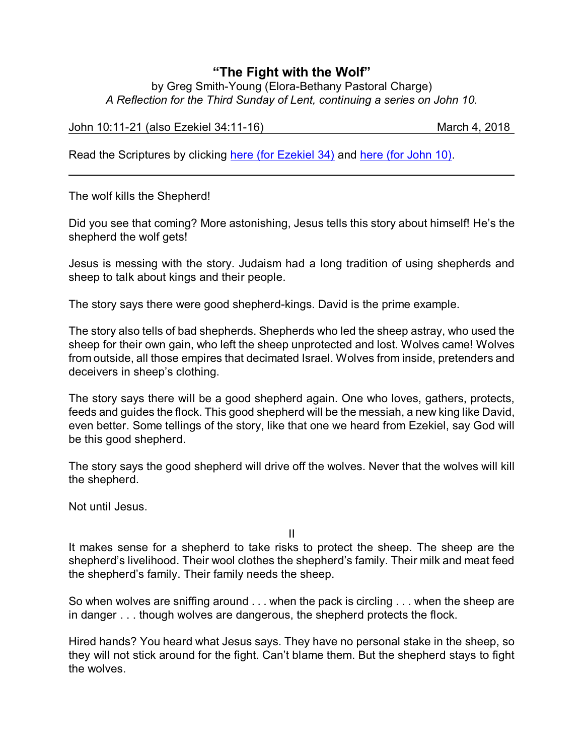## **"The Fight with the Wolf"**

by Greg Smith-Young (Elora-Bethany Pastoral Charge) *A Reflection for the Third Sunday of Lent, continuing a series on John 10.*

John 10:11-21 (also Ezekiel 34:11-16) March 4, 2018

Read the Scriptures by clicking [here \(for Ezekiel 34\)](https://www.biblegateway.com/passage/?search=Ezekiel+34%3A11-16&version=NRSVA) and [here \(for John 10\)](https://www.biblegateway.com/passage/?search=John+10%3A11-21&version=NRSVA).

The wolf kills the Shepherd!

Did you see that coming? More astonishing, Jesus tells this story about himself! He's the shepherd the wolf gets!

Jesus is messing with the story. Judaism had a long tradition of using shepherds and sheep to talk about kings and their people.

The story says there were good shepherd-kings. David is the prime example.

The story also tells of bad shepherds. Shepherds who led the sheep astray, who used the sheep for their own gain, who left the sheep unprotected and lost. Wolves came! Wolves from outside, all those empires that decimated Israel. Wolves from inside, pretenders and deceivers in sheep's clothing.

The story says there will be a good shepherd again. One who loves, gathers, protects, feeds and guides the flock. This good shepherd will be the messiah, a new king like David, even better. Some tellings of the story, like that one we heard from Ezekiel, say God will be this good shepherd.

The story says the good shepherd will drive off the wolves. Never that the wolves will kill the shepherd.

Not until Jesus.

II

It makes sense for a shepherd to take risks to protect the sheep. The sheep are the shepherd's livelihood. Their wool clothes the shepherd's family. Their milk and meat feed the shepherd's family. Their family needs the sheep.

So when wolves are sniffing around . . . when the pack is circling . . . when the sheep are in danger . . . though wolves are dangerous, the shepherd protects the flock.

Hired hands? You heard what Jesus says. They have no personal stake in the sheep, so they will not stick around for the fight. Can't blame them. But the shepherd stays to fight the wolves.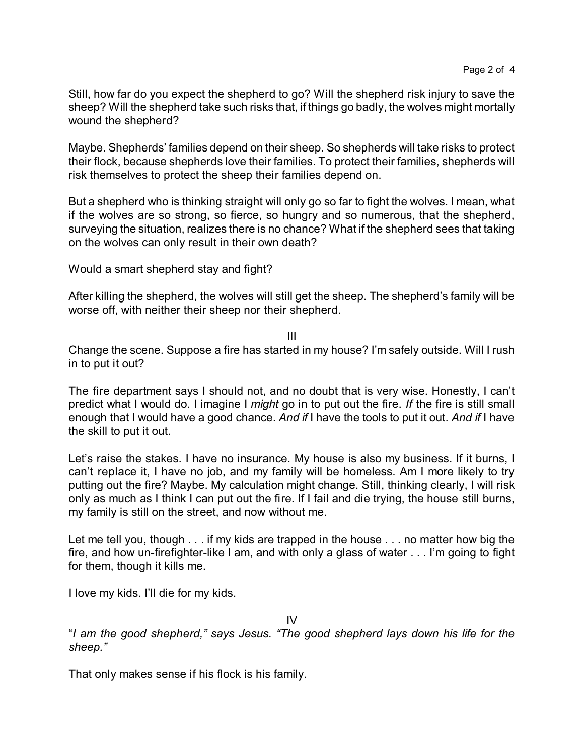Still, how far do you expect the shepherd to go? Will the shepherd risk injury to save the sheep? Will the shepherd take such risks that, if things go badly, the wolves might mortally wound the shepherd?

Maybe. Shepherds' families depend on their sheep. So shepherds will take risks to protect their flock, because shepherds love their families. To protect their families, shepherds will risk themselves to protect the sheep their families depend on.

But a shepherd who is thinking straight will only go so far to fight the wolves. I mean, what if the wolves are so strong, so fierce, so hungry and so numerous, that the shepherd, surveying the situation, realizes there is no chance? What if the shepherd sees that taking on the wolves can only result in their own death?

Would a smart shepherd stay and fight?

After killing the shepherd, the wolves will still get the sheep. The shepherd's family will be worse off, with neither their sheep nor their shepherd.

III

Change the scene. Suppose a fire has started in my house? I'm safely outside. Will I rush in to put it out?

The fire department says I should not, and no doubt that is very wise. Honestly, I can't predict what I would do. I imagine I *might* go in to put out the fire. *If* the fire is still small enough that I would have a good chance. *And if* I have the tools to put it out. *And if* I have the skill to put it out.

Let's raise the stakes. I have no insurance. My house is also my business. If it burns, I can't replace it, I have no job, and my family will be homeless. Am I more likely to try putting out the fire? Maybe. My calculation might change. Still, thinking clearly, I will risk only as much as I think I can put out the fire. If I fail and die trying, the house still burns, my family is still on the street, and now without me.

Let me tell you, though . . . if my kids are trapped in the house . . . no matter how big the fire, and how un-firefighter-like I am, and with only a glass of water . . . I'm going to fight for them, though it kills me.

I love my kids. I'll die for my kids.

IV

"*I am the good shepherd," says Jesus. "The good shepherd lays down his life for the sheep."*

That only makes sense if his flock is his family.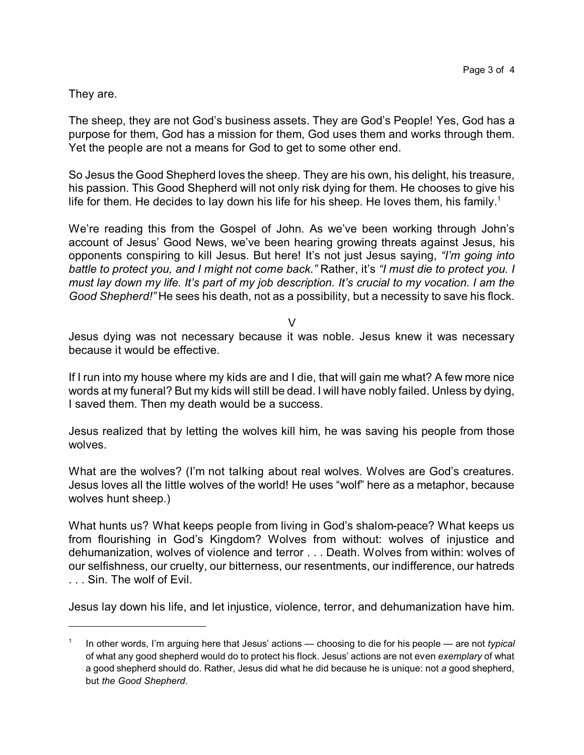They are.

The sheep, they are not God's business assets. They are God's People! Yes, God has a purpose for them, God has a mission for them, God uses them and works through them. Yet the people are not a means for God to get to some other end.

So Jesus the Good Shepherd loves the sheep. They are his own, his delight, his treasure, his passion. This Good Shepherd will not only risk dying for them. He chooses to give his life for them. He decides to lay down his life for his sheep. He loves them, his family.<sup>1</sup>

We're reading this from the Gospel of John. As we've been working through John's account of Jesus' Good News, we've been hearing growing threats against Jesus, his opponents conspiring to kill Jesus. But here! It's not just Jesus saying, *"I'm going into battle to protect you, and I might not come back."* Rather, it's *"I must die to protect you. I must lay down my life. It's part of my job description. It's crucial to my vocation. I am the Good Shepherd!"* He sees his death, not as a possibility, but a necessity to save his flock.

 $\vee$ 

Jesus dying was not necessary because it was noble. Jesus knew it was necessary because it would be effective.

If I run into my house where my kids are and I die, that will gain me what? A few more nice words at my funeral? But my kids will still be dead. I will have nobly failed. Unless by dying, I saved them. Then my death would be a success.

Jesus realized that by letting the wolves kill him, he was saving his people from those wolves.

What are the wolves? (I'm not talking about real wolves. Wolves are God's creatures. Jesus loves all the little wolves of the world! He uses "wolf" here as a metaphor, because wolves hunt sheep.)

What hunts us? What keeps people from living in God's shalom-peace? What keeps us from flourishing in God's Kingdom? Wolves from without: wolves of injustice and dehumanization, wolves of violence and terror . . . Death. Wolves from within: wolves of our selfishness, our cruelty, our bitterness, our resentments, our indifference, our hatreds . . . Sin. The wolf of Evil.

Jesus lay down his life, and let injustice, violence, terror, and dehumanization have him.

<sup>1</sup> In other words, I'm arguing here that Jesus' actions — choosing to die for his people — are not *typical* of what any good shepherd would do to protect his flock. Jesus' actions are not even *exemplary* of what a good shepherd should do. Rather, Jesus did what he did because he is unique: not *a* good shepherd, but *the Good Shepherd*.